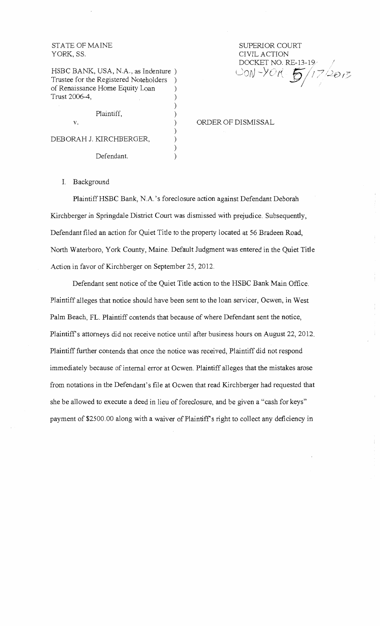### STATE OF MAINE YORK, SS.

HSBC BANK, USA, N.A., as Indenture ) Trustee for the Registered Noteholders ) of Renaissance Home Equity Loan ) Trust 2006-4,

Plaintiff, )  $v.$  ) DEBORAH J. KIRCHBERGER,  $)$ Defendant.

# SUPERIOR COURT CIVIL ACTION DOCKET NO. RE-13-19/ 20N -YOR 5/17/2013

ORDER OF DISMISSAL

I. Background

PlaintiffHSBC Bank, N.A 's foreclosure action against Defendant Deborah Kirchberger in Springdale District Court was dismissed with prejudice. Subsequently, Defendant filed an action for Quiet Title to the property located at 56 Bradeen Road, North Waterboro, York County, Maine. Default Judgment was entered in the Quiet Title Action in favor of Kirchberger on September 25, 2012.

)

)

)

Defendant sent notice of the Quiet Title action to the HSBC Bank Main Office. Plaintiff alleges that notice should have been sent to the loan servicer, Ocwen, in West Palm Beach, FL. Plaintiff contends that because of where Defendant sent the notice, Plaintiff's attorneys did not receive notice until after business hours on August 22, 2012. Plaintiff further contends that once the notice was received, Plaintiff did not respond immediately because of internal error at Ocwen. Plaintiff alleges that the mistakes arose from notations in the Defendant's file at Ocwen that read Kirchberger had requested that she be allowed to execute a deed in lieu of foreclosure, and be given a "cash for keys" payment of \$2500.00 along with a waiver of Plaintiff's right to collect any deficiency in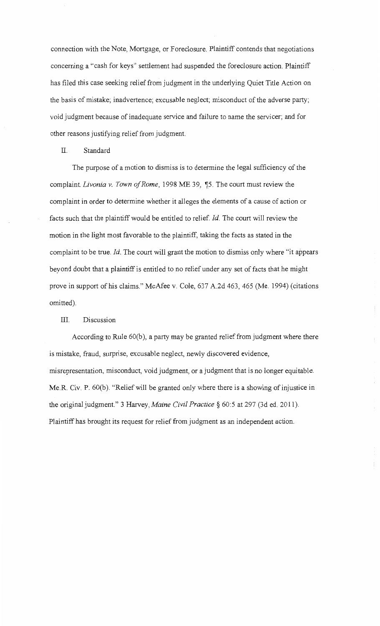connection with the Note, Mortgage, or Foreclosure. Plaintiff contends that negotiations concerning a "cash for keys" settlement had suspended the foreclosure action. Plaintiff has filed this case seeking relief from judgment in the underlying Quiet Title Action on the basis of mistake; inadvertence; excusable neglect; misconduct of the adverse party; void judgment because of inadequate service and failure to name the servicer; and for other reasons justifying relief from judgment.

#### II. Standard

The purpose of a motion to dismiss is to determine the legal sufficiency of the complaint. *Livonia v. Town of Rome*, 1998 ME 39, ¶5. The court must review the complaint in order to determine whether it alleges the elements of a cause of action or facts such that the plaintiff would be entitled to relief. *Id*. The court will review the motion in the light most favorable to the plaintiff, taking the facts as stated in the complaint to be true. *Id.* The court will grant the motion to dismiss only where "it appears beyond doubt that a plaintiff is entitled to no relief under any set of facts that he might prove in support of his claims." McAfee v. Cole, 637 A.2d 463, 465 (Me. 1994) (citations omitted).

## III. Discussion

According to Rule 60(b), a party may be granted relief from judgment where there is mistake, fraud, surprise, excusable neglect, newly discovered evidence, misrepresentation, misconduct, void judgment, or a judgment that is no longer equitable. Me.R. Civ. P. 60(b). "Relief will be granted only where there is a showing of injustice in the original judgment." 3 Harvey, *Maine Civil Practice§* 60:5 at 297 (3d ed. 2011). Plaintiff has brought its request for relief from judgment as an independent action.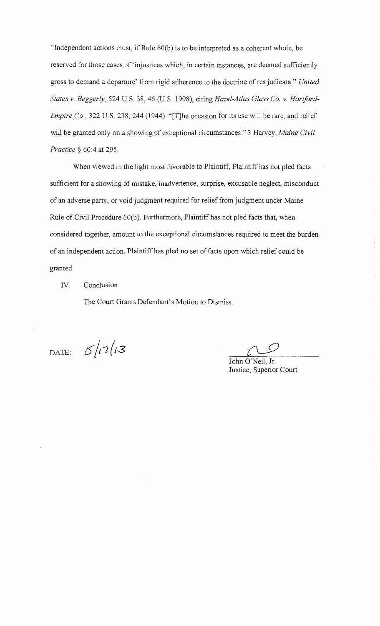"Independent actions must, if Rule 60(b) is to be interpreted as a coherent whole, be reserved for those cases of 'injustices which, in certain instances, are deemed sufficiently gross to demand a departure' from rigid adherence to the doctrine of res judicata." *United States v. Beggerly,* 524 U.S. 38, 46 (U.S. 1998), citing *Hazel-Atlas Glass Co. v. Hartford-Empire Co.,* 322 U.S. 238, 244 (1944). "[T]he occasion for its use will be rare, and relief will be granted only on a showing of exceptional circumstances." 3 Harvey, *Maine Civil Practice§* 60:4 at 295.

When viewed in the light most favorable to Plaintiff, Plaintiff has not pled facts sufficient for a showing of mistake, inadvertence, surprise, excusable neglect, misconduct of an adverse party, or void judgment required for relief from judgment under Maine Rule of Civil Procedure 60(b). Furthermore, Plaintiff has not pled facts that, when considered together, amount to the exceptional circumstances required to meet the burden of an independent action. Plaintiff has pled no set of facts upon which relief could be granted.

#### IV. Conclusion

The Court Grants Defendant's Motion to Dismiss.

DATE:  $5/17/3$ 

John O'Neil, Jr. Justice, Superior Court